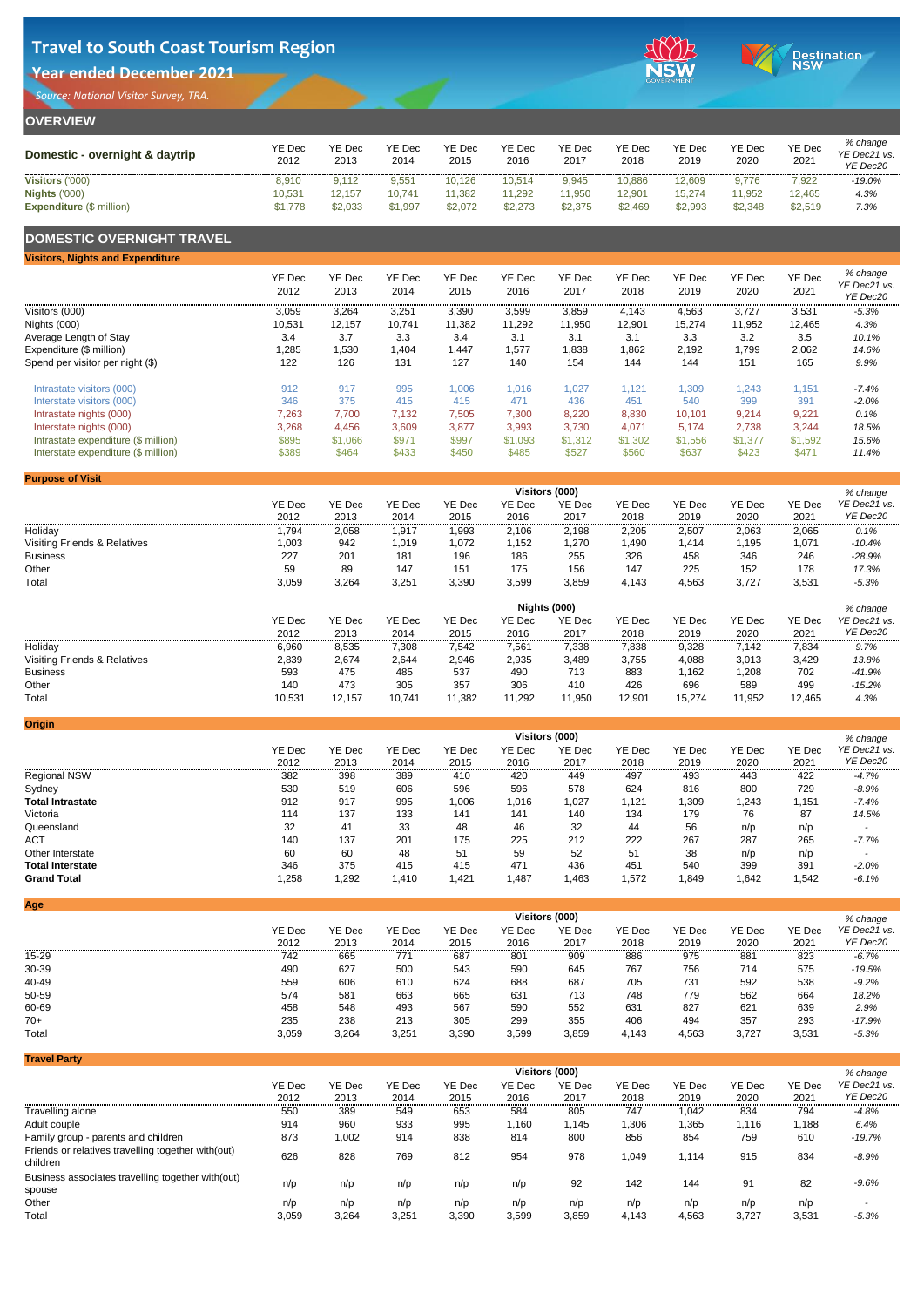YE Dec

2020

YE Dec

2021

#### **OVERVIEW Domestic - overnight & daytrip** YE Dec 2012 YE Dec 2013 YE Dec 2014 YE Dec 2015 YE Dec 2016 YE Dec 2017 YE Dec 2018 YE Dec 2019 **Visitors** ('000) 8,910 9,112 9,551 10,126 10,514 9,945 10,886 12,609 9,776 7,922 *-19.0%* **Nights** ('000) 10,531 12,157 10,741 11,382 11,292 11,950 12,901 15,274 11,952 12,465 *4.3%*

*% change YE Dec21 vs.* 

*YE Dec20*

### **DOMESTIC OVERNIGHT TRAVEL**

| <b>Visitors, Nights and Expenditure</b> |                       |                       |                       |                       |                       |                       |                       |                       |                |                       |                                      |
|-----------------------------------------|-----------------------|-----------------------|-----------------------|-----------------------|-----------------------|-----------------------|-----------------------|-----------------------|----------------|-----------------------|--------------------------------------|
|                                         | <b>YE Dec</b><br>2012 | <b>YE Dec</b><br>2013 | <b>YE Dec</b><br>2014 | <b>YE Dec</b><br>2015 | <b>YE Dec</b><br>2016 | <b>YE Dec</b><br>2017 | <b>YE Dec</b><br>2018 | <b>YE Dec</b><br>2019 | YE Dec<br>2020 | <b>YE Dec</b><br>2021 | % change<br>YE Dec21 vs.<br>YE Dec20 |
| Visitors (000)                          | 3,059                 | 3,264                 | 3,251                 | 3,390                 | 3,599                 | 3,859                 | 4,143                 | 4,563                 | 3,727          | 3,531                 | $-5.3%$                              |
| Nights (000)                            | 10,531                | 12,157                | 10,741                | 11,382                | 11,292                | 11,950                | 12,901                | 15,274                | 11,952         | 12,465                | 4.3%                                 |
| Average Length of Stay                  | 3.4                   | 3.7                   | 3.3                   | 3.4                   | 3.1                   | 3.1                   | 3.1                   | 3.3                   | 3.2            | 3.5                   | 10.1%                                |
| Expenditure (\$ million)                | 1,285                 | ,530                  | ,404                  | .447                  | 1,577                 | 1,838                 | 862,                  | 2,192                 | 1,799          | 2,062                 | 14.6%                                |
| Spend per visitor per night (\$)        | 122                   | 126                   | 131                   | 127                   | 140                   | 154                   | 144                   | 144                   | 151            | 165                   | 9.9%                                 |
| Intrastate visitors (000)               | 912                   | 917                   | 995                   | 1,006                 | 1,016                 | 1,027                 | 1,121                 | 1,309                 | 1,243          | 1,151                 | $-7.4%$                              |
| Interstate visitors (000)               | 346                   | 375                   | 415                   | 415                   | 471                   | 436                   | 451                   | 540                   | 399            | 391                   | $-2.0%$                              |
| Intrastate nights (000)                 | 7,263                 | 7,700                 | 7,132                 | 7,505                 | 7,300                 | 8,220                 | 8,830                 | 10,101                | 9,214          | 9,221                 | 0.1%                                 |
| Interstate nights (000)                 | 3,268                 | 4,456                 | 3,609                 | 3,877                 | 3,993                 | 3,730                 | 4,071                 | 5,174                 | 2,738          | 3,244                 | 18.5%                                |
| Intrastate expenditure (\$ million)     | \$895                 | \$1,066               | \$971                 | \$997                 | \$1,093               | \$1,312               | \$1,302               | \$1,556               | \$1,377        | \$1,592               | 15.6%                                |
| Interstate expenditure (\$ million)     | \$389                 | \$464                 | \$433                 | \$450                 | \$485                 | \$527                 | \$560                 | \$637                 | \$423          | \$471                 | 11.4%                                |

Expenditure (\$ million) **\$1,778** \$2,033 \$1,997 \$2,072 \$2,273 \$2,375 \$2,469 \$2,993 \$2,348 \$2,519 7.3%

**Origin**

| <b>Purpose of Visit</b>                 |               |               |               |               |               |                |               |        |               |               |              |  |
|-----------------------------------------|---------------|---------------|---------------|---------------|---------------|----------------|---------------|--------|---------------|---------------|--------------|--|
|                                         |               |               |               |               |               | Visitors (000) |               |        |               |               | % change     |  |
|                                         | <b>YE Dec</b> | <b>YE Dec</b> | <b>YE Dec</b> | <b>YE Dec</b> | <b>YE Dec</b> | <b>YE Dec</b>  | <b>YE Dec</b> | YE Dec | <b>YE Dec</b> | <b>YE Dec</b> | YE Dec21 vs. |  |
|                                         | 2012          | 2013          | 2014          | 2015          | 2016          | 2017           | 2018          | 2019   | 2020          | 2021          | YE Dec20     |  |
| Holiday                                 | ,794          | 2,058         | ,917          | ,993          | 2,106         | 2,198          | 2,205         | 2,507  | 2,063         | 2,065         | 0.1%         |  |
| <b>Visiting Friends &amp; Relatives</b> | 1,003         | 942           | 1,019         | 1,072         | 1,152         | 1,270          | 1,490         | 1,414  | ,195          | 1,071         | $-10.4%$     |  |
| <b>Business</b>                         | 227           | 201           | 181           | 196           | 186           | 255            | 326           | 458    | 346           | 246           | $-28.9%$     |  |
| Other                                   | 59            | 89            | 147           | 151           | 175           | 156            | 147           | 225    | 152           | 178           | 17.3%        |  |
| Total                                   | 3,059         | 3,264         | 3,251         | 3,390         | 3,599         | 3,859          | 4,143         | 4,563  | 3,727         | 3,531         | $-5.3%$      |  |





|                                         | <b>Nights (000)</b><br>% change                                                                  |                                                                                                                                      |       |       |       |       |       |       |       |               |              |  |  |
|-----------------------------------------|--------------------------------------------------------------------------------------------------|--------------------------------------------------------------------------------------------------------------------------------------|-------|-------|-------|-------|-------|-------|-------|---------------|--------------|--|--|
|                                         | <b>YE Dec</b>                                                                                    | <b>YE Dec</b><br><b>YE Dec</b><br><b>YE Dec</b><br><b>YE Dec</b><br><b>YE Dec</b><br><b>YE Dec</b><br><b>YE Dec</b><br><b>YE Dec</b> |       |       |       |       |       |       |       | <b>YE Dec</b> | YE Dec21 vs. |  |  |
|                                         | 2012                                                                                             | 2013                                                                                                                                 | 2014  | 2015  | 2016  | 2017  | 2018  | 2019  | 2020  | 2021          | YE Dec20     |  |  |
| Holiday                                 | 6,960                                                                                            | 8,535                                                                                                                                | 7,308 | 7,542 | 7,561 | 7,338 | 7,838 | 9,328 | 7,142 | 7,834         | 9.7%         |  |  |
| <b>Visiting Friends &amp; Relatives</b> | 2,839                                                                                            | 2,674                                                                                                                                | 2,644 | 2,946 | 2,935 | 3,489 | 3,755 | 4,088 | 3,013 | 3,429         | 13.8%        |  |  |
| <b>Business</b>                         | 593                                                                                              | 475                                                                                                                                  | 485   | 537   | 490   | 713   | 883   | ,162  | ,208  | 702           | $-41.9%$     |  |  |
| Other                                   | 140                                                                                              | 473                                                                                                                                  | 305   | 357   | 306   | 410   | 426   | 696   | 589   | 499           | $-15.2%$     |  |  |
| <b>Total</b>                            | 10,531<br>11,382<br>11,292<br>11,950<br>12,901<br>11,952<br>12,157<br>15,274<br>10,741<br>12,465 |                                                                                                                                      |       |       |       |       |       |       |       |               |              |  |  |

|                         | <b>Visitors (000)</b> |               |               |               |               |               |               |               |               |        |              |  |  |
|-------------------------|-----------------------|---------------|---------------|---------------|---------------|---------------|---------------|---------------|---------------|--------|--------------|--|--|
|                         | <b>YE Dec</b>         | <b>YE Dec</b> | <b>YE Dec</b> | <b>YE Dec</b> | <b>YE Dec</b> | <b>YE Dec</b> | <b>YE Dec</b> | <b>YE Dec</b> | <b>YE Dec</b> | YE Dec | YE Dec21 vs. |  |  |
|                         | 2012                  | 2013          | 2014          | 2015          | 2016          | 2017          | 2018          | 2019          | 2020          | 2021   | YE Dec20     |  |  |
| <b>Regional NSW</b>     | 382                   | 398           | 389           | 410           | 420           | 449           | 497           | 493           | 443           | 422    | $-4.7%$      |  |  |
| Sydney                  | 530                   | 519           | 606           | 596           | 596           | 578           | 624           | 816           | 800           | 729    | $-8.9%$      |  |  |
| <b>Total Intrastate</b> | 912                   | 917           | 995           | 1,006         | 1,016         | 1,027         | ,121          | ,309          | 1,243         | 1,151  | $-7.4%$      |  |  |
| Victoria                | 114                   | 137           | 133           | 141           | 141           | 140           | 134           | 179           | 76            | 87     | 14.5%        |  |  |
| Queensland              | 32                    | 41            | 33            | 48            | 46            | 32            | 44            | 56            | n/p           | n/p    |              |  |  |
| <b>ACT</b>              | 140                   | 137           | 201           | 175           | 225           | 212           | 222           | 267           | 287           | 265    | $-7.7%$      |  |  |
| Other Interstate        | 60                    | 60            | 48            | 51            | 59            | 52            | 51            | 38            | n/p           | n/p    |              |  |  |
| <b>Total Interstate</b> | 346                   | 375           | 415           | 415           | 471           | 436           | 451           | 540           | 399           | 391    | $-2.0%$      |  |  |
| <b>Grand Total</b>      | 1,258                 | 1,292         | ,410          | 1,421         | ,487          | 1,463         | 1,572         | ,849          | 1,642         | 1,542  | $-6.1%$      |  |  |

| <b>Age</b>   |               |               |               |        |               |                       |               |               |               |               |              |
|--------------|---------------|---------------|---------------|--------|---------------|-----------------------|---------------|---------------|---------------|---------------|--------------|
|              |               |               |               |        |               | <b>Visitors (000)</b> |               |               |               |               | % change     |
|              | <b>YE Dec</b> | <b>YE Dec</b> | <b>YE Dec</b> | YE Dec | <b>YE Dec</b> | <b>YE Dec</b>         | <b>YE Dec</b> | <b>YE Dec</b> | <b>YE Dec</b> | <b>YE Dec</b> | YE Dec21 vs. |
|              | 2012          | 2013          | 2014          | 2015   | 2016          | 2017                  | 2018          | 2019          | 2020          | 2021          | YE Dec20     |
| $15 - 29$    | 742           | 665           | 771           | 687    | 801           | 909                   | 886           | 975           | 881           | 823           | $-6.7%$      |
| 30-39        | 490           | 627           | 500           | 543    | 590           | 645                   | 767           | 756           | 714           | 575           | $-19.5%$     |
| 40-49        | 559           | 606           | 610           | 624    | 688           | 687                   | 705           | 731           | 592           | 538           | $-9.2%$      |
| 50-59        | 574           | 581           | 663           | 665    | 631           | 713                   | 748           | 779           | 562           | 664           | 18.2%        |
| 60-69        | 458           | 548           | 493           | 567    | 590           | 552                   | 631           | 827           | 621           | 639           | 2.9%         |
| $70+$        | 235           | 238           | 213           | 305    | 299           | 355                   | 406           | 494           | 357           | 293           | $-17.9%$     |
| <b>Total</b> | 3,059         | 3,264         | 3,251         | 3,390  | 3,599         | 3,859                 | 4,143         | 4,563         | 3,727         | 3,531         | $-5.3%$      |

| . <u>.</u>                                                      | Visitors (000) |               |               |               |               |               |               |               |               |               |              |  |
|-----------------------------------------------------------------|----------------|---------------|---------------|---------------|---------------|---------------|---------------|---------------|---------------|---------------|--------------|--|
|                                                                 | <b>YE Dec</b>  | <b>YE Dec</b> | <b>YE Dec</b> | <b>YE Dec</b> | <b>YE Dec</b> | <b>YE Dec</b> | <b>YE Dec</b> | <b>YE Dec</b> | <b>YE Dec</b> | <b>YE Dec</b> | YE Dec21 vs. |  |
|                                                                 | 2012           | 2013          | 2014          | 2015          | 2016          | 2017          | 2018          | 2019          | 2020          | 2021          | YE Dec20     |  |
| Travelling alone                                                | 550            | 389           | 549           | 653           | 584           | 805           | 747           | 1,042         | 834           | 794           | $-4.8%$      |  |
| Adult couple                                                    | 914            | 960           | 933           | 995           | 1,160         | 1,145         | 1,306         | 1,365         | .116،         | 1,188         | 6.4%         |  |
| Family group - parents and children                             | 873            | 1,002         | 914           | 838           | 814           | 800           | 856           | 854           | 759           | 610           | $-19.7%$     |  |
| Friends or relatives travelling together with (out)<br>children | 626            | 828           | 769           | 812           | 954           | 978           | 1,049         | 1,114         | 915           | 834           | $-8.9%$      |  |
| Business associates travelling together with (out)<br>spouse    | n/p            | n/p           | n/p           | n/p           | n/p           | 92            | 142           | 144           | 91            | 82            | $-9.6%$      |  |
| Other                                                           | n/p            | n/p           | n/p           | n/p           | n/p           | n/p           | n/p           | n/p           | n/p           | n/p           |              |  |
| <b>Total</b>                                                    | 3,059          | 3,264         | 3,251         | 3,390         | 3,599         | 3,859         | 4,143         | 4,563         | 3,727         | 3,531         | $-5.3%$      |  |

# **Travel to South Coast Tourism Region**

### **Year ended December 2021**

*Source: National Visitor Survey, TRA.*